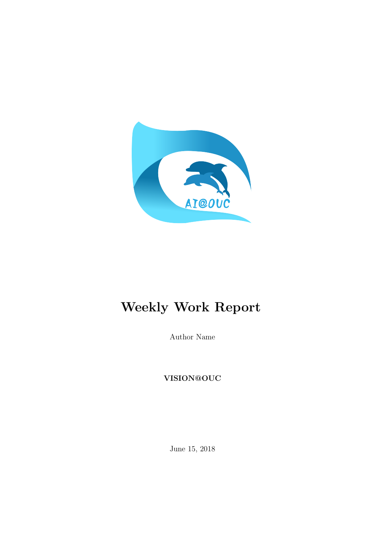

# Weekly Work Report

Author Name

VISION@OUC

June 15, 2018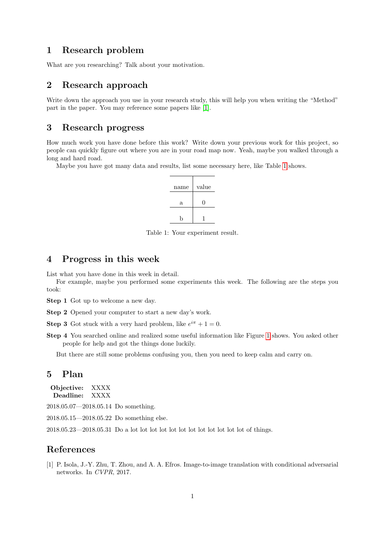#### 1 Research problem

What are you researching? Talk about your motivation.

## 2 Research approach

Write down the approach you use in your research study, this will help you when writing the "Method" part in the paper. You may reference some papers like [\[1\]](#page-1-0).

#### 3 Research progress

How much work you have done before this work? Write down your previous work for this project, so people can quickly figure out where you are in your road map now. Yeah, maybe you walked through a long and hard road.

Maybe you have got many data and results, list some necessary here, like Table [1](#page-1-1) shows.



<span id="page-1-1"></span>Table 1: Your experiment result.

# 4 Progress in this week

List what you have done in this week in detail.

For example, maybe you performed some experiments this week. The following are the steps you took:

Step 1 Got up to welcome a new day.

Step 2 Opened your computer to start a new day's work.

**Step 3** Got stuck with a very hard problem, like  $e^{i\pi} + 1 = 0$ .

Step 4 You searched online and realized some useful information like Figure [1](#page-2-0) shows. You asked other people for help and got the things done luckily.

But there are still some problems confusing you, then you need to keep calm and carry on.

#### 5 Plan

| Objective: | XXXX |
|------------|------|
| Deadline:  | XXXX |

2018.05.07—2018.05.14 Do something.

2018.05.15—2018.05.22 Do something else.

2018.05.23—2018.05.31 Do a lot lot lot lot lot lot lot lot lot lot lot lot of things.

## References

<span id="page-1-0"></span>[1] P. Isola, J.-Y. Zhu, T. Zhou, and A. A. Efros. Image-to-image translation with conditional adversarial networks. In CVPR, 2017.